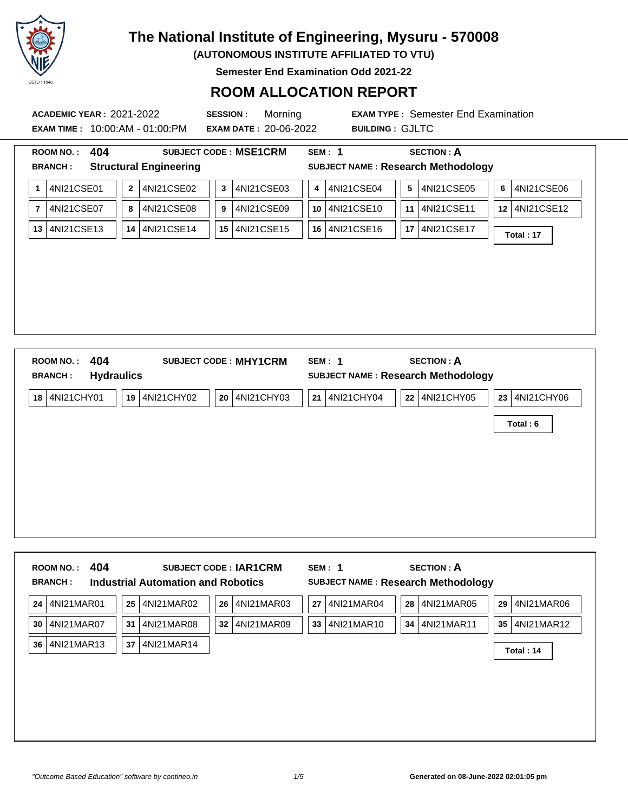

**(AUTONOMOUS INSTITUTE AFFILIATED TO VTU)**

**Semester End Examination Odd 2021-22**

### **ROOM ALLOCATION REPORT**

**EXAM TIME :** 10:00:AM - 01:00:PM **EXAM DATE :** 20-06-2022 **BUILDING :** GJLTC

**ACADEMIC YEAR :** 2021-2022 **SESSION :** Morning **EXAM TYPE :** Semester End Examination

| <b>ROOM NO.:</b> | 404        |              |                               |    | <b>SUBJECT CODE: MSE1CRM</b> |    | SEM: 1                                    |    | <b>SECTION: A</b> |    |            |
|------------------|------------|--------------|-------------------------------|----|------------------------------|----|-------------------------------------------|----|-------------------|----|------------|
| <b>BRANCH:</b>   |            |              | <b>Structural Engineering</b> |    |                              |    | <b>SUBJECT NAME: Research Methodology</b> |    |                   |    |            |
| 1                | 4NI21CSE01 | $\mathbf{2}$ | 4NI21CSE02                    | 3  | 4NI21CSE03                   | 4  | 4NI21CSE04                                | 5  | 4NI21CSE05        | 6  | 4NI21CSE06 |
| $\overline{7}$   | 4NI21CSE07 | 8            | 4NI21CSE08                    | 9  | 4NI21CSE09                   | 10 | 4NI21CSE10                                | 11 | 4NI21CSE11        | 12 | 4NI21CSE12 |
| 13               | 4NI21CSE13 | 14           | 4NI21CSE14                    | 15 | 4NI21CSE15                   | 16 | 4NI21CSE16                                | 17 | 4NI21CSE17        |    | Total: 17  |
|                  |            |              |                               |    |                              |    |                                           |    |                   |    |            |
|                  |            |              |                               |    |                              |    |                                           |    |                   |    |            |
|                  |            |              |                               |    |                              |    |                                           |    |                   |    |            |
|                  |            |              |                               |    |                              |    |                                           |    |                   |    |            |
|                  |            |              |                               |    |                              |    |                                           |    |                   |    |            |
|                  |            |              |                               |    |                              |    |                                           |    |                   |    |            |
| <b>ROOM NO.:</b> | 404        |              |                               |    | <b>SUBJECT CODE: MHY1CRM</b> |    | SEM: 1                                    |    | <b>SECTION: A</b> |    |            |

| <b>Hydraulics</b><br><b>BRANCH:</b> | SUBJECT NAME : Research Methodology                                     |
|-------------------------------------|-------------------------------------------------------------------------|
| 4NI21CHY01<br>19 4NI21CHY02<br>18   | 4NI21CHY05<br>4NI21CHY06<br>20 4NI21CHY03<br>21 4NI21CHY04<br>22 <br>23 |
|                                     | Total: 6                                                                |
|                                     |                                                                         |
|                                     |                                                                         |
|                                     |                                                                         |
|                                     |                                                                         |
|                                     |                                                                         |

|                 | <b>BRANCH:</b> |    | <b>Industrial Automation and Robotics</b> |    | <b>SUBJECT CODE: IAR1CRM</b> |    | SEM: 1     |    | <b>SECTION: A</b><br><b>SUBJECT NAME: Research Methodology</b> |    |               |
|-----------------|----------------|----|-------------------------------------------|----|------------------------------|----|------------|----|----------------------------------------------------------------|----|---------------|
| 24 <sup>1</sup> | 4NI21MAR01     | 25 | 4NI21MAR02                                | 26 | 4NI21MAR03                   | 27 | 4NI21MAR04 | 28 | 4NI21MAR05                                                     | 29 | 4NI21MAR06    |
| 30              | 4NI21MAR07     | 31 | 4NI21MAR08                                | 32 | 4NI21MAR09                   | 33 | 4NI21MAR10 | 34 | 4NI21MAR11                                                     |    | 35 4NI21MAR12 |
| 36 <sup>1</sup> | 4NI21MAR13     | 37 | 4NI21MAR14                                |    |                              |    |            |    |                                                                |    | Total: 14     |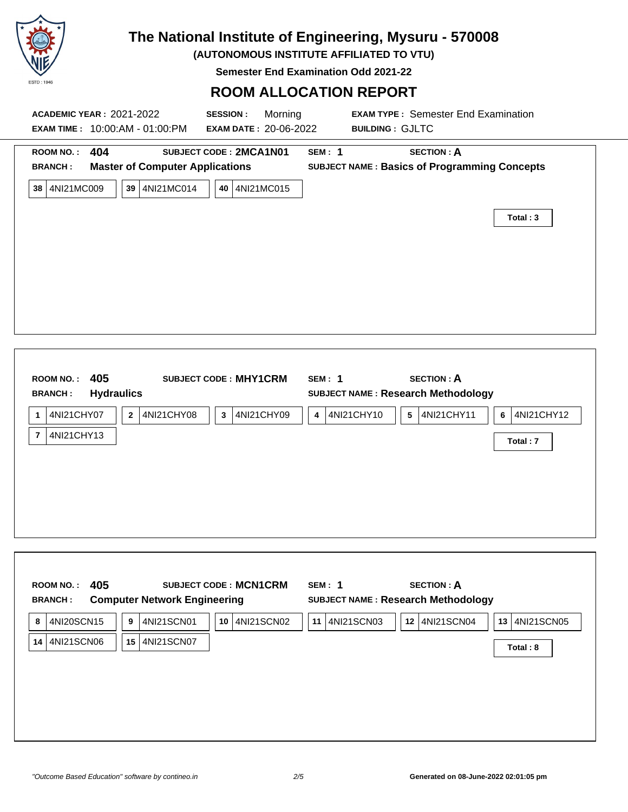

**(AUTONOMOUS INSTITUTE AFFILIATED TO VTU)**

**Semester End Examination Odd 2021-22**

### **ROOM ALLOCATION REPORT**

| <b>ACADEMIC YEAR: 2021-2022</b><br><b>EXAM TIME: 10:00:AM - 01:00:PM</b>                                                                                  | <b>SESSION:</b><br>Morning<br><b>EXAM DATE: 20-06-2022</b>                                             | <b>EXAM TYPE: Semester End Examination</b><br><b>BUILDING: GJLTC</b>                                               |                        |
|-----------------------------------------------------------------------------------------------------------------------------------------------------------|--------------------------------------------------------------------------------------------------------|--------------------------------------------------------------------------------------------------------------------|------------------------|
| 404<br><b>ROOM NO.:</b><br><b>Master of Computer Applications</b><br><b>BRANCH:</b><br>38 4NI21MC009<br>39 4NI21MC014                                     | SUBJECT CODE: 2MCA1N01<br><b>SEM: 1</b><br>40 4NI21MC015                                               | <b>SECTION: A</b><br><b>SUBJECT NAME: Basics of Programming Concepts</b>                                           | Total: 3               |
| 405<br><b>ROOM NO.:</b><br><b>Hydraulics</b><br><b>BRANCH:</b><br>4NI21CHY07<br>$2^{\circ}$<br>4NI21CHY08<br>$\mathbf{1}$<br>4NI21CHY13<br>$\overline{7}$ | <b>SUBJECT CODE: MHY1CRM</b><br><b>SEM: 1</b><br>4NI21CHY09<br>$\mathbf{3}$<br>$\overline{\mathbf{4}}$ | <b>SECTION: A</b><br><b>SUBJECT NAME: Research Methodology</b><br>4NI21CHY10<br>4NI21CHY11<br>$5\phantom{.0}$<br>6 | 4NI21CHY12<br>Total: 7 |

| <b>BRANCH:</b> | <b>Computer Network Engineering</b> |                  |                  | <b>SUBJECT NAME: Research Methodology</b> |                  |
|----------------|-------------------------------------|------------------|------------------|-------------------------------------------|------------------|
| 4NI20SCN15     | 4NI21SCN01<br>9                     | 4NI21SCN02<br>10 | 4NI21SCN03<br>11 | 4NI21SCN04<br>12                          | 4NI21SCN05<br>13 |
| 4NI21SCN06     | 4NI21SCN07<br>15                    |                  |                  |                                           | Total: 8         |
|                |                                     |                  |                  |                                           |                  |
|                |                                     |                  |                  |                                           |                  |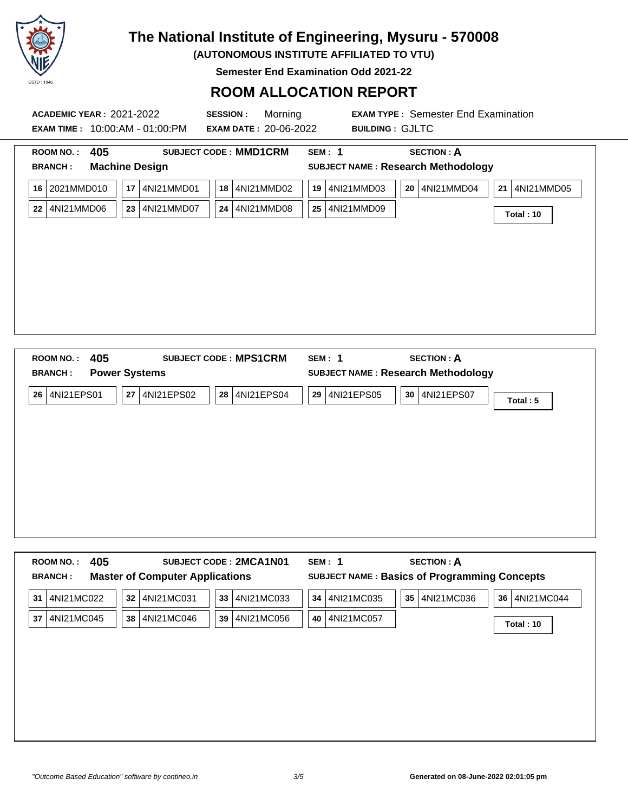

**(AUTONOMOUS INSTITUTE AFFILIATED TO VTU)**

**Semester End Examination Odd 2021-22**

### **ROOM ALLOCATION REPORT**

| <b>ACADEMIC YEAR: 2021-2022</b><br><b>EXAM TIME: 10:00:AM - 01:00:PM</b> | <b>SESSION:</b>                                       | Morning<br><b>EXAM DATE: 20-06-2022</b> | <b>BUILDING: GJLTC</b>                    | <b>EXAM TYPE: Semester End Examination</b> |               |
|--------------------------------------------------------------------------|-------------------------------------------------------|-----------------------------------------|-------------------------------------------|--------------------------------------------|---------------|
| 405<br>ROOM NO.:<br><b>BRANCH:</b>                                       | <b>SUBJECT CODE: MMD1CRM</b><br><b>Machine Design</b> | SEM: 1                                  | <b>SUBJECT NAME: Research Methodology</b> | <b>SECTION: A</b>                          |               |
| 2021MMD010<br>16                                                         | 17<br>4NI21MMD01<br>18                                | 4NI21MMD02<br>19                        | 4NI21MMD03<br>20                          | 4NI21MMD04                                 | 21 4NI21MMD05 |
| 4NI21MMD06<br>22                                                         | 23<br>4NI21MMD07<br>24                                | 4NI21MMD08<br>25                        | 4NI21MMD09                                |                                            | Total: 10     |
|                                                                          |                                                       |                                         |                                           |                                            |               |
|                                                                          |                                                       |                                         |                                           |                                            |               |
|                                                                          |                                                       |                                         |                                           |                                            |               |
|                                                                          |                                                       |                                         |                                           |                                            |               |
|                                                                          |                                                       |                                         |                                           |                                            |               |
|                                                                          |                                                       |                                         |                                           |                                            |               |
|                                                                          |                                                       |                                         |                                           |                                            |               |

| <b>BRANCH:</b> | <b>Power Systems</b> |               |               | <b>SUBJECT NAME: Research Methodology</b> |            |
|----------------|----------------------|---------------|---------------|-------------------------------------------|------------|
| 4NI21EPS01     | 4NI21EPS02<br>27     | 28 4NI21EPS04 | 29 4NI21EPS05 | 30 4NI21EPS07                             | Total: $5$ |
|                |                      |               |               |                                           |            |
|                |                      |               |               |                                           |            |
|                |                      |               |               |                                           |            |
|                |                      |               |               |                                           |            |
|                |                      |               |               |                                           |            |

| 405<br><b>ROOM NO.:</b><br><b>BRANCH:</b> | SUBJECT CODE: 2MCA1N01<br><b>Master of Computer Applications</b> | <b>SECTION: A</b><br>SEM: 1<br><b>SUBJECT NAME: Basics of Programming Concepts</b> |  |
|-------------------------------------------|------------------------------------------------------------------|------------------------------------------------------------------------------------|--|
| 4NI21MC022<br>31                          | 4NI21MC031<br>4NI21MC033<br>32<br>33                             | 4NI21MC036<br>4NI21MC035<br>4NI21MC044<br>34<br>35<br>36                           |  |
| 4NI21MC045<br>37                          | 4NI21MC046<br>4NI21MC056<br>38<br>39                             | 4NI21MC057<br>40<br>Total: 10                                                      |  |
|                                           |                                                                  |                                                                                    |  |
|                                           |                                                                  |                                                                                    |  |
|                                           |                                                                  |                                                                                    |  |
|                                           |                                                                  |                                                                                    |  |
|                                           |                                                                  |                                                                                    |  |
|                                           |                                                                  |                                                                                    |  |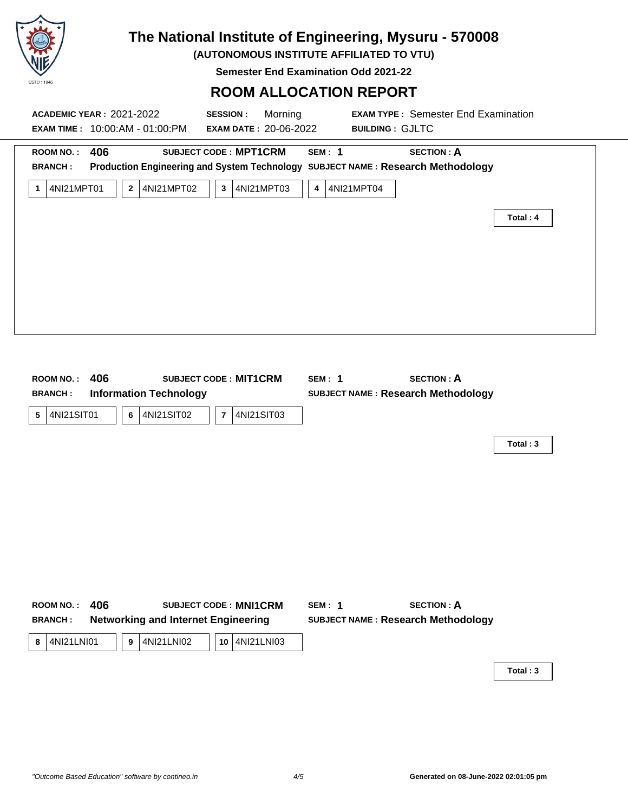

**(AUTONOMOUS INSTITUTE AFFILIATED TO VTU)**

**Semester End Examination Odd 2021-22**

#### **ROOM ALLOCATION REPORT**

| <b>ACADEMIC YEAR: 2021-2022</b>                       |          | EXAM TIME: 10:00:AM - 01:00:PM                           | <b>SESSION:</b><br><b>EXAM DATE: 20-06-2022</b>              | Morning            | <b>BUILDING: GJLTC</b> | <b>EXAM TYPE: Semester End Examination</b>                                                           |          |  |
|-------------------------------------------------------|----------|----------------------------------------------------------|--------------------------------------------------------------|--------------------|------------------------|------------------------------------------------------------------------------------------------------|----------|--|
| <b>ROOM NO.:</b><br><b>BRANCH:</b><br>4NI21MPT01<br>1 | 406      | 2 4NI21MPT02                                             | <b>SUBJECT CODE: MPT1CRM</b><br>4NI21MPT03<br>$\mathbf{3}$   | <b>SEM: 1</b><br>4 | 4NI21MPT04             | <b>SECTION: A</b><br>Production Engineering and System Technology SUBJECT NAME: Research Methodology | Total: 4 |  |
| <b>ROOM NO.:</b><br><b>BRANCH:</b><br>4NI21SIT01<br>5 | 406<br>6 | <b>Information Technology</b><br>4NI21SIT02              | <b>SUBJECT CODE: MIT1CRM</b><br>$\overline{7}$<br>4NI21SIT03 | <b>SEM: 1</b>      |                        | <b>SECTION: A</b><br><b>SUBJECT NAME: Research Methodology</b>                                       | Total: 3 |  |
| <b>ROOM NO.:</b><br><b>BRANCH:</b><br>4NI21LNI01<br>8 | 406<br>9 | <b>Networking and Internet Engineering</b><br>4NI21LNI02 | <b>SUBJECT CODE: MNI1CRM</b><br>10 4NI21LNI03                | <b>SEM: 1</b>      |                        | <b>SECTION: A</b><br><b>SUBJECT NAME: Research Methodology</b>                                       | Total: 3 |  |